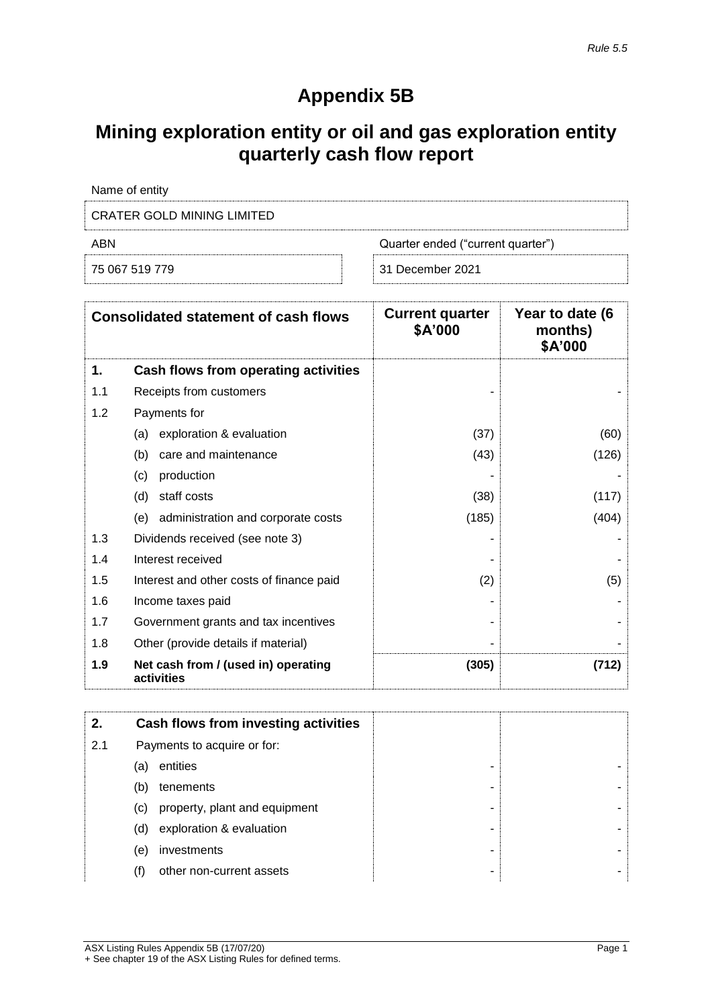## **Appendix 5B**

## **Mining exploration entity or oil and gas exploration entity quarterly cash flow report**

| Name of entity                    |                                   |
|-----------------------------------|-----------------------------------|
| <b>CRATER GOLD MINING LIMITED</b> |                                   |
| ABN                               | Quarter ended ("current quarter") |
|                                   |                                   |

|  | 75 067 519 779 |  |
|--|----------------|--|

|  | 31 December 2021 |  |
|--|------------------|--|
|  |                  |  |

|     | <b>Consolidated statement of cash flows</b>       | <b>Current quarter</b><br>\$A'000 | Year to date (6<br>months)<br>\$A'000 |
|-----|---------------------------------------------------|-----------------------------------|---------------------------------------|
| 1.  | Cash flows from operating activities              |                                   |                                       |
| 1.1 | Receipts from customers                           |                                   |                                       |
| 1.2 | Payments for                                      |                                   |                                       |
|     | exploration & evaluation<br>(a)                   | (37)                              | (60)                                  |
|     | care and maintenance<br>(b)                       | (43)                              | (126)                                 |
|     | production<br>(c)                                 |                                   |                                       |
|     | (d)<br>staff costs                                | (38)                              | (117)                                 |
|     | administration and corporate costs<br>(e)         | (185)                             | (404)                                 |
| 1.3 | Dividends received (see note 3)                   |                                   |                                       |
| 1.4 | Interest received                                 |                                   |                                       |
| 1.5 | Interest and other costs of finance paid          | (2)                               | (5)                                   |
| 1.6 | Income taxes paid                                 |                                   |                                       |
| 1.7 | Government grants and tax incentives              |                                   |                                       |
| 1.8 | Other (provide details if material)               |                                   |                                       |
| 1.9 | Net cash from / (used in) operating<br>activities | (305)                             | (712)                                 |

| 2.  | Cash flows from investing activities |   |  |
|-----|--------------------------------------|---|--|
| 2.1 | Payments to acquire or for:          |   |  |
|     | entities<br>(a)                      | - |  |
|     | tenements<br>(b)                     | ۰ |  |
|     | property, plant and equipment<br>(C) | - |  |
|     | exploration & evaluation<br>(d)      | - |  |
|     | investments<br>(e)                   |   |  |
|     | other non-current assets<br>(f)      | ۰ |  |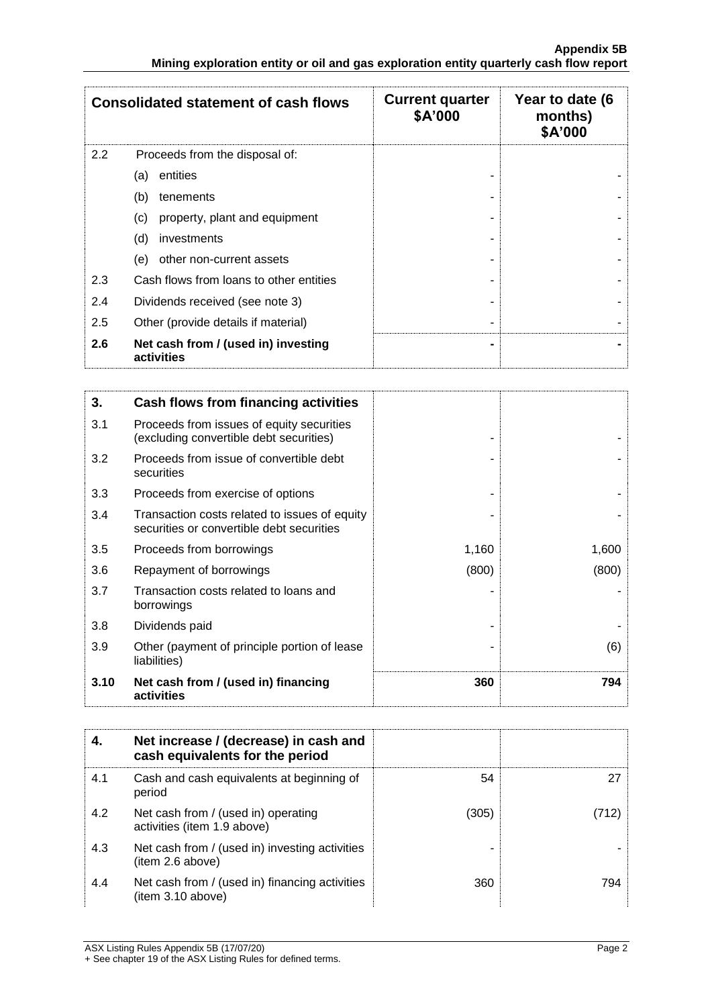|     | <b>Consolidated statement of cash flows</b>       | <b>Current quarter</b><br>\$A'000 | Year to date (6<br>months)<br>\$A'000 |
|-----|---------------------------------------------------|-----------------------------------|---------------------------------------|
| 2.2 | Proceeds from the disposal of:                    |                                   |                                       |
|     | entities<br>(a)                                   |                                   |                                       |
|     | (b)<br>tenements                                  |                                   |                                       |
|     | property, plant and equipment<br>(C)              |                                   |                                       |
|     | (d)<br>investments                                |                                   |                                       |
|     | other non-current assets<br>(e)                   |                                   |                                       |
| 2.3 | Cash flows from loans to other entities           |                                   |                                       |
| 2.4 | Dividends received (see note 3)                   | ٠                                 |                                       |
| 2.5 | Other (provide details if material)               |                                   |                                       |
| 2.6 | Net cash from / (used in) investing<br>activities | $\blacksquare$                    |                                       |

| 3.   | Cash flows from financing activities                                                       |       |       |
|------|--------------------------------------------------------------------------------------------|-------|-------|
| 3.1  | Proceeds from issues of equity securities<br>(excluding convertible debt securities)       |       |       |
| 3.2  | Proceeds from issue of convertible debt<br>securities                                      |       |       |
| 3.3  | Proceeds from exercise of options                                                          |       |       |
| 3.4  | Transaction costs related to issues of equity<br>securities or convertible debt securities |       |       |
| 3.5  | Proceeds from borrowings                                                                   | 1,160 | 1,600 |
| 3.6  | Repayment of borrowings                                                                    | (800) | (800) |
| 3.7  | Transaction costs related to loans and<br>borrowings                                       |       |       |
| 3.8  | Dividends paid                                                                             |       |       |
| 3.9  | Other (payment of principle portion of lease<br>liabilities)                               |       | (6)   |
| 3.10 | Net cash from / (used in) financing<br>activities                                          | 360   | 794   |

|     | Net increase / (decrease) in cash and<br>cash equivalents for the period |       |     |
|-----|--------------------------------------------------------------------------|-------|-----|
| 4.1 | Cash and cash equivalents at beginning of<br>period                      | 54    |     |
| 4.2 | Net cash from / (used in) operating<br>activities (item 1.9 above)       | (305) |     |
| 4.3 | Net cash from / (used in) investing activities<br>(item 2.6 above)       |       |     |
| 4.4 | Net cash from / (used in) financing activities<br>(item 3.10 above)      | 360   | 794 |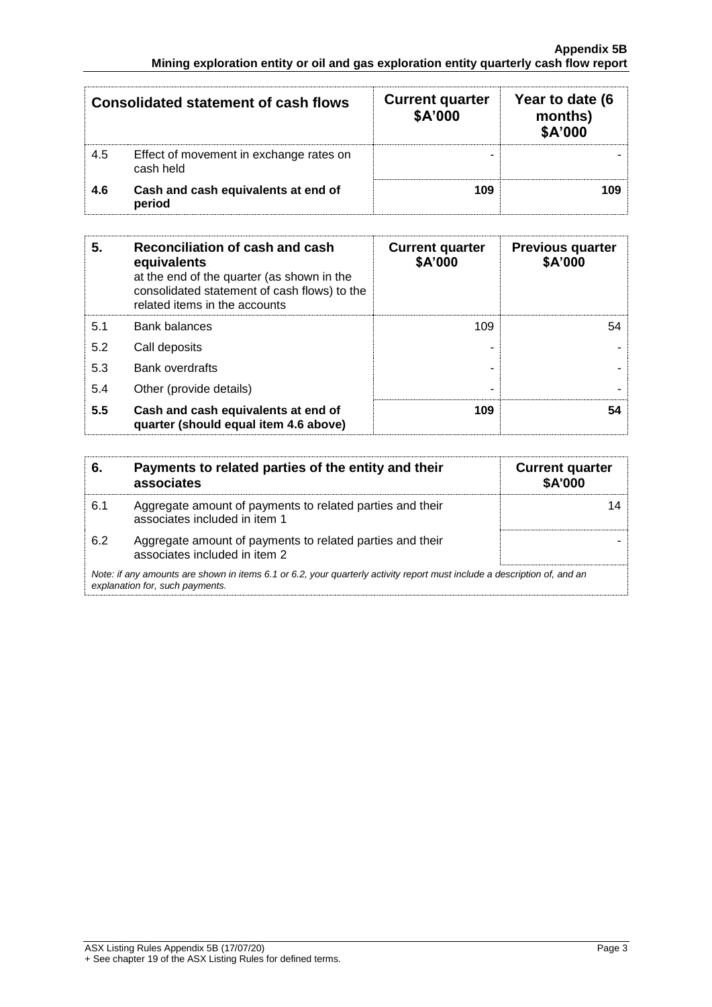|     | Consolidated statement of cash flows                 | <b>Current quarter</b><br>\$A'000 | Year to date (6<br>months)<br>\$A'000 |
|-----|------------------------------------------------------|-----------------------------------|---------------------------------------|
| 4.5 | Effect of movement in exchange rates on<br>cash held |                                   |                                       |
| 4.6 | Cash and cash equivalents at end of<br>period        | 109                               |                                       |

| 5.  | Reconciliation of cash and cash<br>equivalents<br>at the end of the quarter (as shown in the<br>consolidated statement of cash flows) to the<br>related items in the accounts | <b>Current quarter</b><br>\$A'000 | <b>Previous quarter</b><br>\$A'000 |
|-----|-------------------------------------------------------------------------------------------------------------------------------------------------------------------------------|-----------------------------------|------------------------------------|
| 5.1 | <b>Bank balances</b>                                                                                                                                                          | 109                               | 54                                 |
| 5.2 | Call deposits                                                                                                                                                                 |                                   |                                    |
| 5.3 | <b>Bank overdrafts</b>                                                                                                                                                        |                                   |                                    |
| 5.4 | Other (provide details)                                                                                                                                                       | -                                 |                                    |
| 5.5 | Cash and cash equivalents at end of<br>quarter (should equal item 4.6 above)                                                                                                  | 109                               | 54                                 |

| 6.  | Payments to related parties of the entity and their<br>associates                                                                                           | <b>Current quarter</b><br><b>\$A'000</b> |  |
|-----|-------------------------------------------------------------------------------------------------------------------------------------------------------------|------------------------------------------|--|
| 6.1 | Aggregate amount of payments to related parties and their<br>associates included in item 1                                                                  |                                          |  |
| 6.2 | Aggregate amount of payments to related parties and their<br>associates included in item 2                                                                  |                                          |  |
|     | Note: if any amounts are shown in items 6.1 or 6.2, your quarterly activity report must include a description of, and an<br>explanation for, such payments. |                                          |  |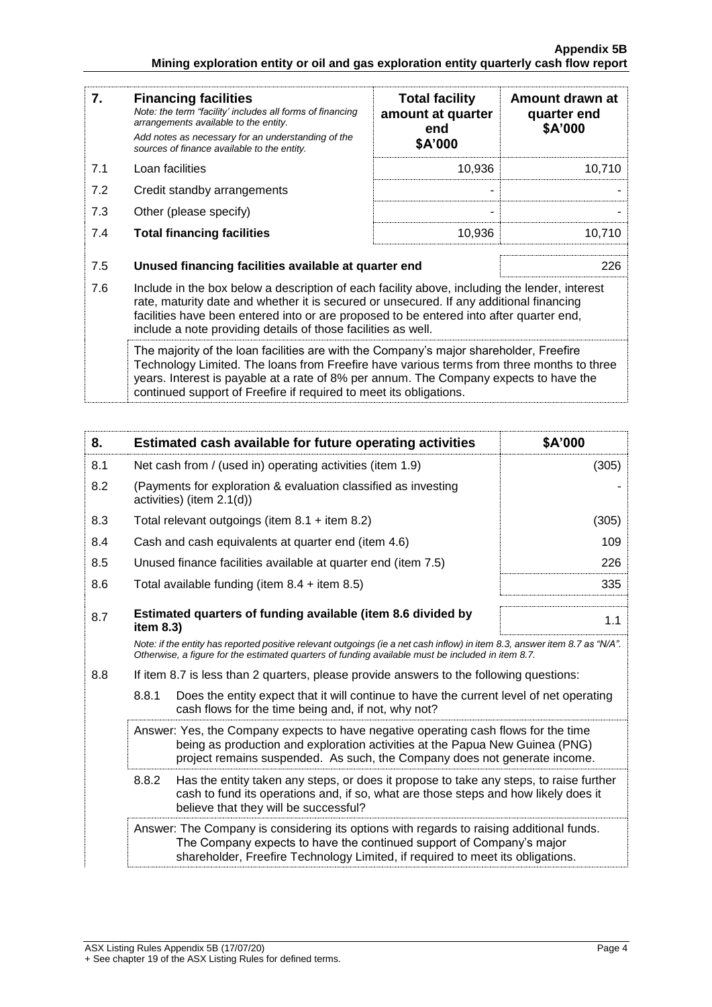| 7.  | <b>Financing facilities</b><br>Note: the term "facility' includes all forms of financing<br>arrangements available to the entity.<br>Add notes as necessary for an understanding of the<br>sources of finance available to the entity.                                                                                                               | <b>Total facility</b><br>amount at quarter<br>end<br>\$A'000 | Amount drawn at<br>quarter end<br>\$A'000 |
|-----|------------------------------------------------------------------------------------------------------------------------------------------------------------------------------------------------------------------------------------------------------------------------------------------------------------------------------------------------------|--------------------------------------------------------------|-------------------------------------------|
| 7.1 | Loan facilities                                                                                                                                                                                                                                                                                                                                      | 10,936                                                       | 10,710                                    |
| 7.2 | Credit standby arrangements                                                                                                                                                                                                                                                                                                                          |                                                              |                                           |
| 7.3 | Other (please specify)                                                                                                                                                                                                                                                                                                                               |                                                              |                                           |
| 7.4 | <b>Total financing facilities</b>                                                                                                                                                                                                                                                                                                                    | 10,936                                                       | 10,710                                    |
|     |                                                                                                                                                                                                                                                                                                                                                      |                                                              |                                           |
| 7.5 | Unused financing facilities available at quarter end                                                                                                                                                                                                                                                                                                 |                                                              | 226                                       |
| 7.6 | Include in the box below a description of each facility above, including the lender, interest<br>rate, maturity date and whether it is secured or unsecured. If any additional financing<br>facilities have been entered into or are proposed to be entered into after quarter end,<br>include a note providing details of those facilities as well. |                                                              |                                           |
|     | The majority of the loan facilities are with the Company's major shareholder, Freefire<br>Technology Limited. The loans from Freefire have various terms from three months to three<br>years. Interest is payable at a rate of 8% per annum. The Company expects to have the<br>continued support of Freefire if required to meet its obligations.   |                                                              |                                           |

| 8.  | Estimated cash available for future operating activities                                                                                                                                                                                           | \$A'000 |
|-----|----------------------------------------------------------------------------------------------------------------------------------------------------------------------------------------------------------------------------------------------------|---------|
| 8.1 | Net cash from / (used in) operating activities (item 1.9)                                                                                                                                                                                          | (305)   |
| 8.2 | (Payments for exploration & evaluation classified as investing<br>activities) (item 2.1(d))                                                                                                                                                        |         |
| 8.3 | Total relevant outgoings (item $8.1 +$ item $8.2$ )                                                                                                                                                                                                | (305)   |
| 8.4 | Cash and cash equivalents at quarter end (item 4.6)                                                                                                                                                                                                | 109     |
| 8.5 | Unused finance facilities available at quarter end (item 7.5)                                                                                                                                                                                      | 226     |
| 8.6 | Total available funding (item 8.4 + item 8.5)                                                                                                                                                                                                      | 335     |
| 8.7 | Estimated quarters of funding available (item 8.6 divided by<br>item 8.3)                                                                                                                                                                          | 1.1     |
|     | Note: if the entity has reported positive relevant outgoings (ie a net cash inflow) in item 8.3, answer item 8.7 as "N/A".<br>Otherwise, a figure for the estimated quarters of funding available must be included in item 8.7.                    |         |
| 8.8 | If item 8.7 is less than 2 quarters, please provide answers to the following questions:                                                                                                                                                            |         |
|     | 8.8.1<br>Does the entity expect that it will continue to have the current level of net operating<br>cash flows for the time being and, if not, why not?                                                                                            |         |
|     | Answer: Yes, the Company expects to have negative operating cash flows for the time<br>being as production and exploration activities at the Papua New Guinea (PNG)<br>project remains suspended. As such, the Company does not generate income.   |         |
|     | 8.8.2<br>Has the entity taken any steps, or does it propose to take any steps, to raise further<br>cash to fund its operations and, if so, what are those steps and how likely does it<br>believe that they will be successful?                    |         |
|     | Answer: The Company is considering its options with regards to raising additional funds.<br>The Company expects to have the continued support of Company's major<br>shareholder, Freefire Technology Limited, if required to meet its obligations. |         |